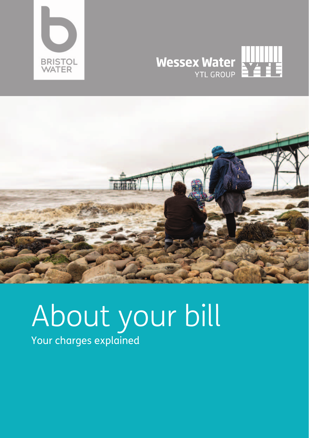





# About your bill Your charges explained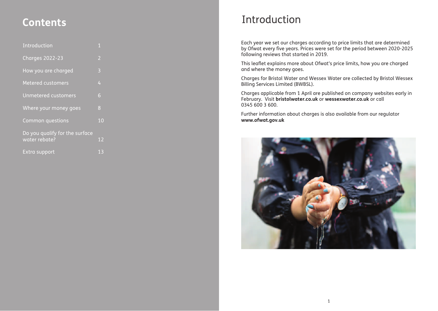| Introduction                                    | $\overline{1}$ |
|-------------------------------------------------|----------------|
| <b>Charges 2022-23</b>                          | $\overline{2}$ |
| How you are charged                             | 3              |
| <b>Metered customers</b>                        | $\overline{4}$ |
| <b>Unmetered customers</b>                      | 6              |
| Where your money goes                           | 8              |
| Common questions                                | 10             |
| Do you qualify for the surface<br>water rebate? | 12             |
| Extra support                                   | 13             |

## Introduction **Contents**

Each year we set our charges according to price limits that are determined by Ofwat every five years. Prices were set for the period between 2020-2025 following reviews that started in 2019.

This leaflet explains more about Ofwat's price limits, how you are charged and where the money goes.

Charges for Bristol Water and Wessex Water are collected by Bristol Wessex Billing Services Limited (BWBSL).

Charges applicable from 1 April are published on company websites early in February. Visit **bristolwater.co.uk** or **wessexwater.co.uk** or call 0345 600 3 600.

Further information about charges is also available from our regulator **www.ofwat.gov.uk**

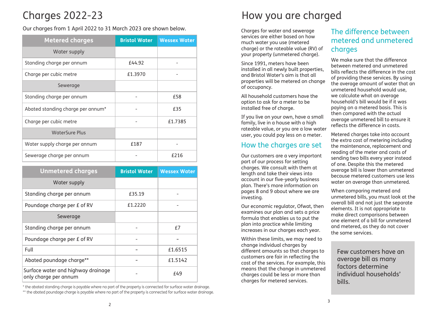### Charges 2022-23

Our charges from 1 April 2022 to 31 March 2023 are shown below.

| <b>Metered charges</b>            | <b>Bristol Water</b> | <b>Wessex Water</b> |
|-----------------------------------|----------------------|---------------------|
| Water supply                      |                      |                     |
| Standing charge per annum         | £44.92               |                     |
| Charge per cubic metre            | £1.3970              |                     |
| Sewerage                          |                      |                     |
| Standing charge per annum         |                      | £58                 |
| Abated standing charge per annum* |                      | £35                 |
| Charge per cubic metre            |                      | £1.7385             |
| <b>WaterSure Plus</b>             |                      |                     |
| Water supply charge per annum     | £187                 |                     |
| Sewerage charge per annum         |                      | £216                |

| <b>Unmetered charges</b>                                    | <b>Bristol Water</b> | <b>Wessex Water</b> |
|-------------------------------------------------------------|----------------------|---------------------|
| Water supply                                                |                      |                     |
| Standing charge per annum                                   | £35.19               |                     |
| Poundage charge per £ of RV                                 | £1.2220              |                     |
| Sewerage                                                    |                      |                     |
| Standing charge per annum                                   |                      | f7                  |
| Poundage charge per £ of RV                                 |                      |                     |
| Full                                                        |                      | £1.6515             |
| Abated poundage charge**                                    |                      | £1.5142             |
| Surface water and highway drainage<br>only charge per annum |                      | f49                 |

\* the abated standing charge is payable where no part of the property is connected for surface water drainage.

\*\* the abated poundage charge is payable where no part of the property is connected for surface water drainage.

### How you are charged

Charges for water and sewerage services are either based on how much water you use (metered charge) or the rateable value (RV) of your property (unmetered charge).

Since 1991, meters have been installed in all newly built properties, and Bristol Water's aim is that all properties will be metered on change of occupancy.

All household customers have the option to ask for a meter to be installed free of charge.

If you live on your own, have a small family, live in a house with a high rateable value, or you are a low water user, you could pay less on a meter.

#### How the charges are set

Our customers are a very important part of our process for setting charges. We consult with them at length and take their views into account in our five-yearly business plan. There's more information on pages 8 and 9 about where we are investing.

Our economic regulator, Ofwat, then examines our plan and sets a price formula that enables us to put the plan into practice while limiting increases in our charges each year.

Within these limits, we may need to change individual charges by different amounts so that charges to customers are fair in reflecting the cost of the services. For example, this means that the change in unmetered charges could be less or more than charges for metered services.

#### The difference between metered and unmetered charges

We make sure that the difference between metered and unmetered bills reflects the difference in the cost of providing these services. By using the average amount of water that an unmetered household would use, we calculate what an average household's bill would be if it was paying on a metered basis. This is then compared with the actual average unmetered bill to ensure it reflects the difference in costs.

Metered charges take into account the extra cost of metering including the maintenance, replacement and reading of the meter and costs of sending two bills every year instead of one. Despite this the metered average bill is lower than unmetered because metered customers use less water on average than unmetered.

When comparing metered and unmetered bills, you must look at the overall bill and not just the separate elements. It is not appropriate to make direct comparisons between one element of a bill for unmetered and metered, as they do not cover the same services.

Few customers have an average bill as many factors determine individual households' bills.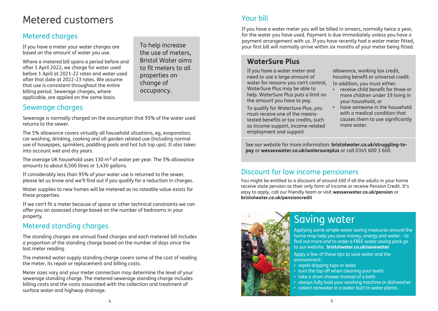### Metered customers

### Metered charges

If you have a meter your water charges are based on the amount of water you use.

Where a metered bill spans a period before and after 1 April 2022, we charge for water used before 1 April at 2021-22 rates and water used after that date at 2022-23 rates. We assume that use is consistent throughout the entire billing period. Sewerage charges, where applicable, are applied on the same basis.

the use of meters, Bristol Water aims to fit meters to all properties on change of occupancy.

### Sewerage charges

Sewerage is normally charged on the assumption that 95% of the water used returns to the sewer.

The 5% allowance covers virtually all household situations, eg, evaporation, car washing, drinking, cooking and all garden related use (including normal use of hosepipes, sprinklers, paddling pools and hot tub top ups). It also takes into account wet and dry years.

The average UK household uses 130  $m<sup>3</sup>$  of water per year. The 5% allowance amounts to about 6,500 litres or 1,430 gallons.

If considerably less than 95% of your water use is returned to the sewer, please let us know and we'll find out if you qualify for a reduction in charges.

Water supplies to new homes will be metered as no rateable value exists for these properties.

If we can't fit a meter because of space or other technical constraints we can offer you an assessed charge based on the number of bedrooms in your property.

#### Metered standing charges

The standing charges are annual fixed charges and each metered bill includes a proportion of the standing charge based on the number of days since the last meter reading.

The metered water supply standing charge covers some of the cost of reading the meter, its repair or replacement and billing costs.

Meter sizes vary and your meter connection may determine the level of your sewerage standing charge. The metered sewerage standing charge includes billing costs and the costs associated with the collection and treatment of surface water and highway drainage.

If you have a water meter you will be billed in arrears, normally twice a year, for the water you have used. Payment is due immediately unless you have a payment arrangement with us. If you have recently had a water meter intea,<br>your first bill will normally arrive within six months of your meter being fitted.

#### **WaterSure Plus**

If you have a water meter and need to use a large amount of water for reasons you can't control, WaterSure Plus may be able to help. WaterSure Plus puts a limit on the amount you have to pay.

To qualify for WaterSure Plus, you must receive one of the meanstested benefits or tax credits, such as income support, income-related employment and support

allowance, working tax credit, housing benefit or universal credit. In addition, you must either:

- receive child benefit for three or more children under 19 living in your household, or
- have someone in the household with a medical condition that causes them to use significantly more water.

See our website for more information: **bristolwater.co.uk/struggling-topay** or **wessexwater.co.uk/watersureplus** or call 0345 600 3 600.

#### Discount for low income pensioners

You might be entitled to a discount of around £60 if all the adults in your home receive state pension as their only form of income or receive Pension Credit. It's easy to apply, call our friendly team or visit **wessexwater.co.uk/pension** or **bristolwater.co.uk/pensioncredit**



### Saving water

Applying some simple water saving measures around the home may help you save money, energy and water – to find out more and to order a FREE water saving pack go to our website: **bristolwater.co.uk/savewater** 

Apply a few of these tips to save water and the environment:

- repair dripping taps or leaks
- turn the tap off when cleaning your teeth
- take a short shower instead of a bath
- always fully load your washing machine or dishwasher
- collect rainwater in a water butt to water plants.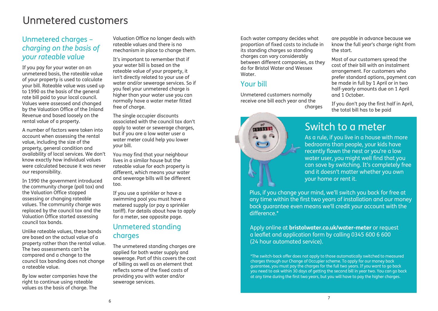### Unmetered customers

#### Unmetered charges – *charging on the basis of your rateable value*

If you pay for your water on an unmetered basis, the rateable value of your property is used to calculate your bill. Rateable value was used up to 1990 as the basis of the general rate bill paid to your local council. Values were assessed and changed by the Valuation Office of the Inland Revenue and based loosely on the rental value of a property.

A number of factors were taken into account when assessing the rental value, including the size of the property, general condition and availability of local services. We don't know exactly how individual values were calculated because it was never our responsibility.

In 1990 the government introduced the community charge (poll tax) and the Valuation Office stopped assessing or changing rateable values. The community charge was replaced by the council tax and the Valuation Office started assessing council tax bands.

Unlike rateable values, these bands are based on the actual value of a property rather than the rental value. The two assessments can't be compared and a change to the council tax banding does not change a rateable value.

By law water companies have the right to continue using rateable values as the basis of charge. The

Valuation Office no longer deals with rateable values and there is no mechanism in place to change them.

It's important to remember that if your water bill is based on the rateable value of your property, it isn't directly related to your use of water and/or sewerage services. So if you feel your unmetered charge is higher than your water use you can normally have a water meter fitted free of charge.

The single occupier discounts associated with the council tax don't apply to water or sewerage charges, but if you are a low water user a water meter could help you lower your bill.

You may find that your neighbour lives in a similar house but the rateable value for each property is different, which means your water and sewerage bills will be different too.

If you use a sprinkler or have a swimming pool you must have a metered supply (or pay a sprinkler tariff). For details about how to apply for a meter, see opposite page.

### Unmetered standing charges

The unmetered standing charges are applied for both water supply and sewerage. Part of this covers the cost of billing as well as an element that reflects some of the fixed costs of providing you with water and/or sewerage services.

Each water company decides what proportion of fixed costs to include in its standing charges so standing charges can vary considerably between different companies, as they do for Bristol Water and Wessex Water.

#### Your bill

**SHIP 10** 

Unmetered customers normally receive one bill each year and the charaes are payable in advance because we know the full year's charge right from the start.

Most of our customers spread the cost of their bill with an instalment arrangement. For customers who prefer standard options, payment can be made in full by 1 April or in two half-yearly amounts due on 1 April and 1 October.

If you don't pay the first half in April, the total bill has to be paid

### Switch to a meter

As a rule, if you live in a house with more bedrooms than people, your kids have recently flown the nest or you're a low water user, you might well find that you can save by switching. It's completely free and it doesn't matter whether you own your home or rent it.

Plus, if you change your mind, we'll switch you back for free at any time within the first two years of installation and our money back guarantee even means we'll credit your account with the difference.\*

#### Apply online at **bristolwater.co.uk/water-meter** or request a leaflet and application form by calling 0345 600 6 600 (24 hour automated service).

\*The switch-back offer does not apply to those automatically switched to measured charges through our Change of Occupier scheme. To apply for our money back guarantee, you must pay the charges for the full two years. If you want to go back you need to ask within 30 days of getting the second bill in year two. You can go back at any time during the first two years, but you will have to pay the higher charges.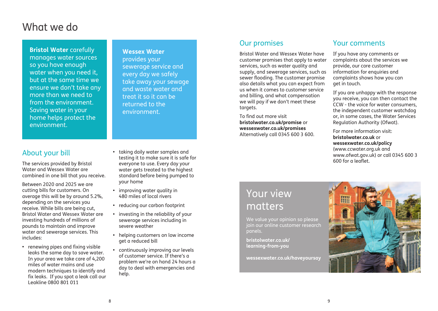### What we do

**Bristol Water** carefully manages water sources so you have enough water when you need it, but at the same time we ensure we don't take any more than we need to from the environment. Saving water in your home helps protect the environment.

#### **Wessex Water**

provides your sewerage service and every day we safely take away your sewage and waste water and treat it so it can be returned to the environment.

#### About your bill

The services provided by Bristol Water and Wessex Water are combined in one bill that you receive.

Between 2020 and 2025 we are cutting bills for customers. On average this will be by around 5.2%, depending on the services you receive. While bills are being cut, Bristol Water and Wessex Water are investing hundreds of millions of pounds to maintain and improve water and sewerage services. This includes:

**•** renewing pipes and fixing visible leaks the same day to save water. In your area we take care of 4,200 miles of water mains and use modern techniques to identify and fix leaks. If you spot a leak call our Leakline 0800 801 011

- **•** taking daily water samples and testing it to make sure it is safe for everyone to use. Every day your water gets treated to the highest standard before being pumped to your home
- **•** improving water quality in 480 miles of local rivers
- **•** reducing our carbon footprint
- **•** investing in the reliability of your sewerage services including in severe weather
- **•** helping customers on low income get a reduced bill
- **•** continuously improving our levels of customer service. If there's a problem we're on hand 24 hours a day to deal with emergencies and help.

#### Our promises

Bristol Water and Wessex Water have customer promises that apply to water services, such as water quality and supply, and sewerage services, such as sewer flooding. The customer promise also details what you can expect from us when it comes to customer service and billing, and what compensation we will pay if we don't meet these targets.

To find out more visit **bristolwater.co.uk/promise** or **wessexwater.co.uk/promises** Alternatively call 0345 600 3 600.

#### Your comments

If you have any comments or complaints about the services we provide, our core customer information for enquiries and complaints shows how you can get in touch.

If you are unhappy with the response you receive, you can then contact the CCW - the voice for water consumers, the independent customer watchdog or, in some cases, the Water Services Regulation Authority (Ofwat).

For more information visit: **bristolwater.co.uk** or **wessexwater.co.uk/policy** (www.ccwater.org.uk and www.ofwat.gov.uk) or call 0345 600 3 600 for a leaflet.

### Your view matters

We value your opinion so please join our online customer research panels.

**bristolwater.co.uk/ learning-from-you** 

**wessexwater.co.uk/haveyoursay**

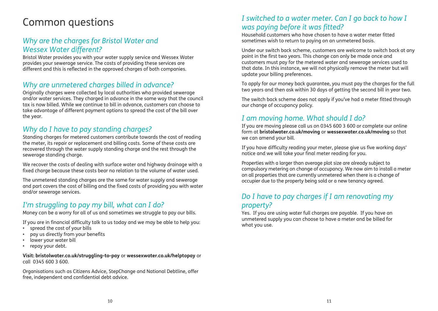#### *Why are the charges for Bristol Water and Wessex Water different?*

Bristol Water provides you with your water supply service and Wessex Water provides your sewerage service. The costs of providing these services are different and this is reflected in the approved charges of both companies.

#### *Why are unmetered charges billed in advance?*

Originally charges were collected by local authorities who provided sewerage and/or water services. They charged in advance in the same way that the council tax is now billed. While we continue to bill in advance, customers can choose to take advantage of different payment options to spread the cost of the bill over the year.

#### *Why do I have to pay standing charges?*

Standing charges for metered customers contribute towards the cost of reading the meter, its repair or replacement and billing costs. Some of these costs are recovered through the water supply standing charge and the rest through the sewerage standing charge.

We recover the costs of dealing with surface water and highway drainage with a fixed charge because these costs bear no relation to the volume of water used.

The unmetered standing charges are the same for water supply and sewerage and part covers the cost of billing and the fixed costs of providing you with water and/or sewerage services.

#### *I'm struggling to pay my bill, what can I do?*

Money can be a worry for all of us and sometimes we struggle to pay our bills.

If you are in financial difficulty talk to us today and we may be able to help you:

- spread the cost of your bills
- pay us directly from your benefits
- lower your water bill
- repay your debt.

**Visit: bristolwater.co.uk/struggling-to-pay** or **wessexwater.co.uk/helptopay** or call 0345 600 3 600.

Organisations such as Citizens Advice, StepChange and National Debtline, offer free, independent and confidential debt advice.

#### Common questions *I switched to a water meter. Can I go back to how I was paying before it was fitted?*

Household customers who have chosen to have a water meter fitted sometimes wish to return to paying on an unmetered basis.

Under our switch back scheme, customers are welcome to switch back at any point in the first two years. This change can only be made once and customers must pay for the metered water and sewerage services used to that date. In this instance, we will not physically remove the meter but will update your billing preferences.

To apply for our money back guarantee, you must pay the charges for the full two years and then ask within 30 days of getting the second bill in year two.

The switch back scheme does not apply if you've had a meter fitted through our change of occupancy policy.

#### *I am moving home. What should I do?*

If you are moving please call us on 0345 600 3 600 or complete our online form at **bristolwater.co.uk/moving** or **wessexwater.co.uk/moving** so that we can amend your bill.

If you have difficulty reading your meter, please give us five working days' notice and we will take your final meter reading for you.

Properties with a larger than average plot size are already subject to compulsory metering on change of occupancy. We now aim to install a meter on all properties that are currently unmetered when there is a change of occupier due to the property being sold or a new tenancy agreed.

#### *Do I have to pay charges if I am renovating my property?*

Yes. If you are using water full charges are payable. If you have an unmetered supply you can choose to have a meter and be billed for what you use.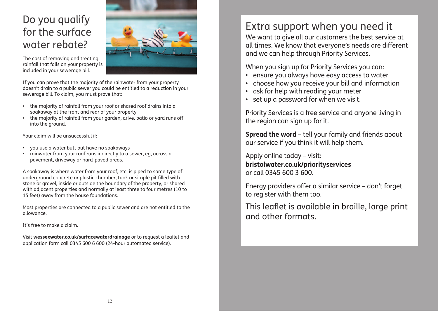### Do you qualify for the surface water rebate?



The cost of removing and treating rainfall that falls on your property is included in your sewerage bill.

If you can prove that the majority of the rainwater from your property doesn't drain to a public sewer you could be entitled to a reduction in your sewerage bill. To claim, you must prove that:

- the majority of rainfall from your roof or shared roof drains into a soakaway at the front and rear of your property
- the majority of rainfall from your garden, drive, patio or yard runs off into the ground.

Your claim will be unsuccessful if:

- you use a water butt but have no soakaways
- rainwater from your roof runs indirectly to a sewer, eg, across a pavement, driveway or hard-paved areas.

A soakaway is where water from your roof, etc, is piped to some type of underground concrete or plastic chamber, tank or simple pit filled with stone or gravel, inside or outside the boundary of the property, or shared with adjacent properties and normally at least three to four metres (10 to 15 feet) away from the house foundations.

Most properties are connected to a public sewer and are not entitled to the allowance.

It's free to make a claim.

Visit **wessexwater.co.uk/surfacewaterdrainage** or to request a leaflet and application form call 0345 600 6 600 (24-hour automated service).

## Extra support when you need it

We want to give all our customers the best service at all times. We know that everyone's needs are different and we can help through Priority Services.

When you sign up for Priority Services you can:

- ensure you always have easy access to water
- choose how you receive your bill and information
- ask for help with reading your meter
- set up a password for when we visit.

Priority Services is a free service and anyone living in the region can sign up for it.

**Spread the word** – tell your family and friends about our service if you think it will help them.

Apply online today – visit: **bristolwater.co.uk/priorityservices** or call 0345 600 3 600.

Energy providers offer a similar service – don't forget to register with them too.

This leaflet is available in braille, large print and other formats.